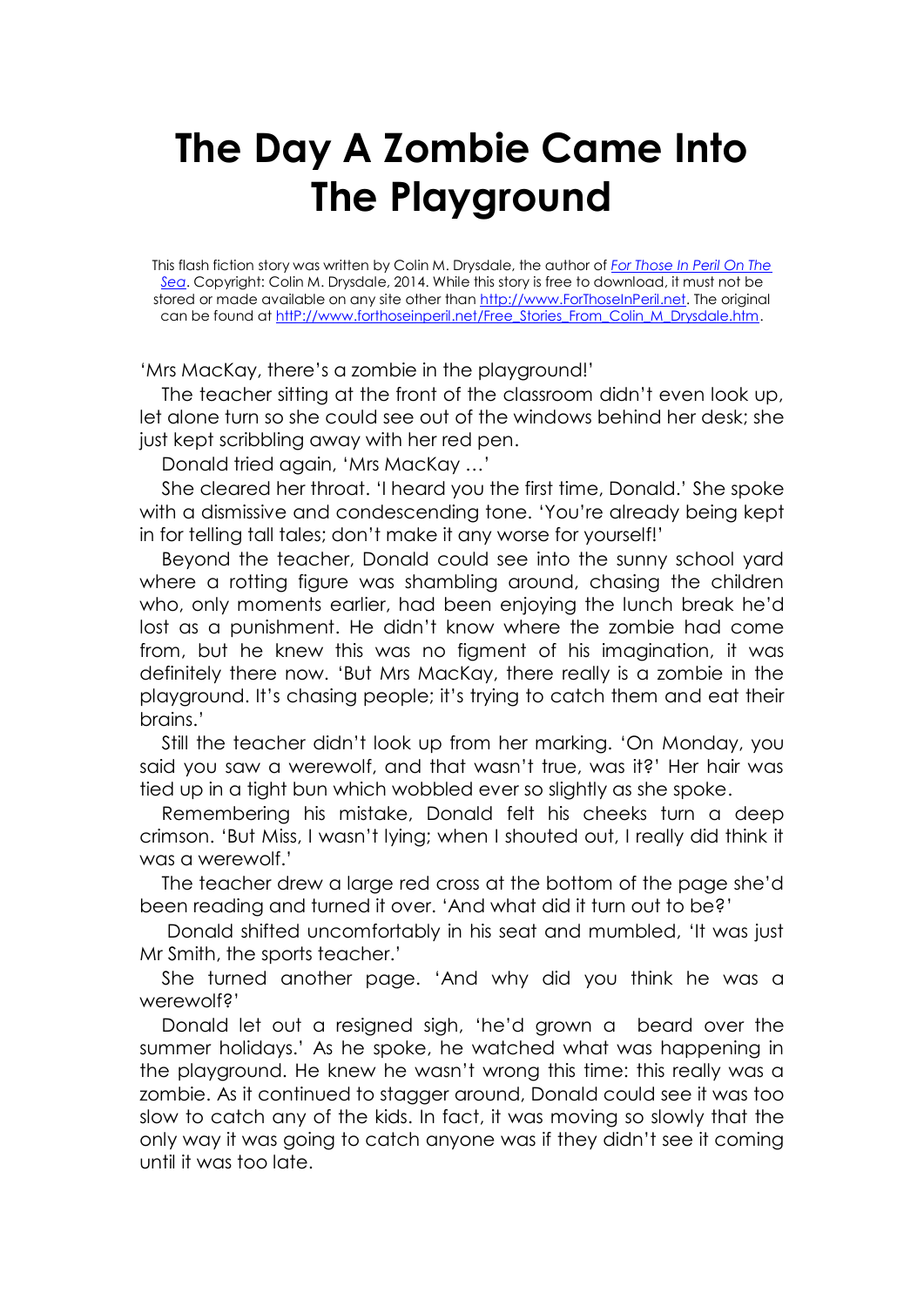## **The Day A Zombie Came Into The Playground**

This flash fiction story was written by Colin M. Drysdale, the author of *[For Those In Peril On The](http://www.forthoseinperil.net/)  [Sea](http://www.forthoseinperil.net/)*. Copyright: Colin M. Drysdale, 2014. While this story is free to download, it must not be stored or made available on any site other than [http://www.ForThoseInPeril.net.](http://www.forthoseinperil.net/) The original can be found at [httP://www.forthoseinperil.net/Free\\_Stories\\_From\\_Colin\\_M\\_Drysdale.htm.](http://www.forthoseinperil.net/Free_Stories_From_Colin_M_Drysdale.htm)

'Mrs MacKay, there's a zombie in the playground!'

The teacher sitting at the front of the classroom didn't even look up, let alone turn so she could see out of the windows behind her desk; she just kept scribbling away with her red pen.

Donald tried again, 'Mrs MacKay …'

She cleared her throat. 'I heard you the first time, Donald.' She spoke with a dismissive and condescending tone. 'You're already being kept in for telling tall tales; don't make it any worse for yourself!'

Beyond the teacher, Donald could see into the sunny school yard where a rotting figure was shambling around, chasing the children who, only moments earlier, had been enjoying the lunch break he'd lost as a punishment. He didn't know where the zombie had come from, but he knew this was no figment of his imagination, it was definitely there now. 'But Mrs MacKay, there really is a zombie in the playground. It's chasing people; it's trying to catch them and eat their brains.'

Still the teacher didn't look up from her marking. 'On Monday, you said you saw a werewolf, and that wasn't true, was it?' Her hair was tied up in a tight bun which wobbled ever so slightly as she spoke.

Remembering his mistake, Donald felt his cheeks turn a deep crimson. 'But Miss, I wasn't lying; when I shouted out, I really did think it was a werewolf.'

The teacher drew a large red cross at the bottom of the page she'd been reading and turned it over. 'And what did it turn out to be?'

Donald shifted uncomfortably in his seat and mumbled, 'It was just Mr Smith, the sports teacher.'

She turned another page. 'And why did you think he was a werewolf?'

Donald let out a resigned sigh, 'he'd grown a beard over the summer holidays.' As he spoke, he watched what was happening in the playground. He knew he wasn't wrong this time: this really was a zombie. As it continued to stagger around, Donald could see it was too slow to catch any of the kids. In fact, it was moving so slowly that the only way it was going to catch anyone was if they didn't see it coming until it was too late.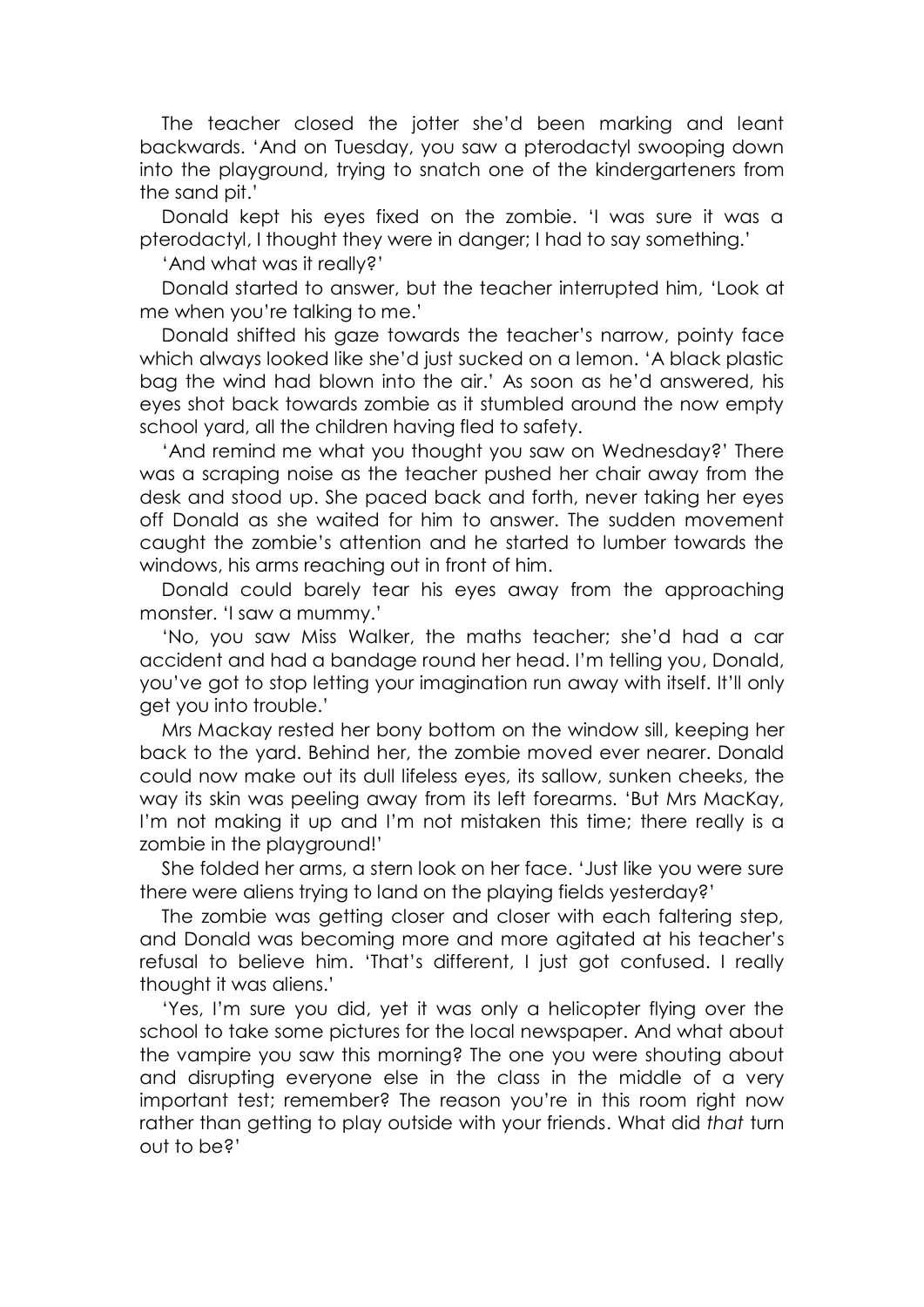The teacher closed the jotter she'd been marking and leant backwards. 'And on Tuesday, you saw a pterodactyl swooping down into the playground, trying to snatch one of the kindergarteners from the sand pit.'

Donald kept his eyes fixed on the zombie. 'I was sure it was a pterodactyl, I thought they were in danger; I had to say something.'

'And what was it really?'

Donald started to answer, but the teacher interrupted him, 'Look at me when you're talking to me.'

Donald shifted his gaze towards the teacher's narrow, pointy face which always looked like she'd just sucked on a lemon. 'A black plastic bag the wind had blown into the air.' As soon as he'd answered, his eyes shot back towards zombie as it stumbled around the now empty school yard, all the children having fled to safety.

'And remind me what you thought you saw on Wednesday?' There was a scraping noise as the teacher pushed her chair away from the desk and stood up. She paced back and forth, never taking her eyes off Donald as she waited for him to answer. The sudden movement caught the zombie's attention and he started to lumber towards the windows, his arms reaching out in front of him.

Donald could barely tear his eyes away from the approaching monster. 'I saw a mummy.'

'No, you saw Miss Walker, the maths teacher; she'd had a car accident and had a bandage round her head. I'm telling you, Donald, you've got to stop letting your imagination run away with itself. It'll only get you into trouble.'

Mrs Mackay rested her bony bottom on the window sill, keeping her back to the yard. Behind her, the zombie moved ever nearer. Donald could now make out its dull lifeless eyes, its sallow, sunken cheeks, the way its skin was peeling away from its left forearms. 'But Mrs MacKay, I'm not making it up and I'm not mistaken this time; there really is a zombie in the playground!'

She folded her arms, a stern look on her face. 'Just like you were sure there were aliens trying to land on the playing fields yesterday?'

The zombie was getting closer and closer with each faltering step, and Donald was becoming more and more agitated at his teacher's refusal to believe him. 'That's different, I just got confused. I really thought it was aliens.'

'Yes, I'm sure you did, yet it was only a helicopter flying over the school to take some pictures for the local newspaper. And what about the vampire you saw this morning? The one you were shouting about and disrupting everyone else in the class in the middle of a very important test; remember? The reason you're in this room right now rather than getting to play outside with your friends. What did *that* turn out to be?'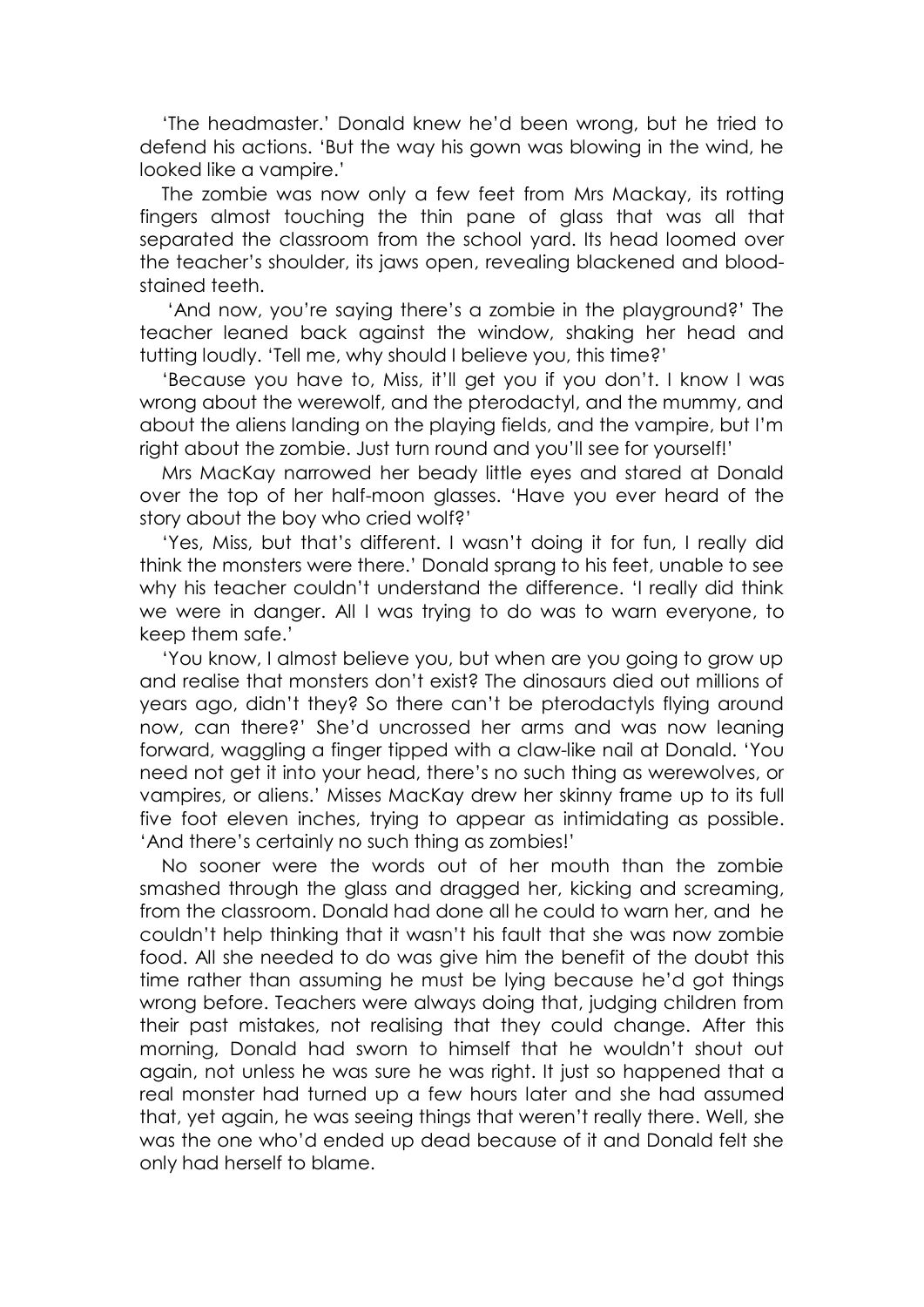'The headmaster.' Donald knew he'd been wrong, but he tried to defend his actions. 'But the way his gown was blowing in the wind, he looked like a vampire.'

The zombie was now only a few feet from Mrs Mackay, its rotting fingers almost touching the thin pane of glass that was all that separated the classroom from the school yard. Its head loomed over the teacher's shoulder, its jaws open, revealing blackened and bloodstained teeth.

'And now, you're saying there's a zombie in the playground?' The teacher leaned back against the window, shaking her head and tutting loudly. 'Tell me, why should I believe you, this time?'

'Because you have to, Miss, it'll get you if you don't. I know I was wrong about the werewolf, and the pterodactyl, and the mummy, and about the aliens landing on the playing fields, and the vampire, but I'm right about the zombie. Just turn round and you'll see for yourself!'

Mrs MacKay narrowed her beady little eyes and stared at Donald over the top of her half-moon glasses. 'Have you ever heard of the story about the boy who cried wolf?'

'Yes, Miss, but that's different. I wasn't doing it for fun, I really did think the monsters were there.' Donald sprang to his feet, unable to see why his teacher couldn't understand the difference. 'I really did think we were in danger. All I was trying to do was to warn everyone, to keep them safe.'

'You know, I almost believe you, but when are you going to grow up and realise that monsters don't exist? The dinosaurs died out millions of years ago, didn't they? So there can't be pterodactyls flying around now, can there?' She'd uncrossed her arms and was now leaning forward, waggling a finger tipped with a claw-like nail at Donald. 'You need not get it into your head, there's no such thing as werewolves, or vampires, or aliens.' Misses MacKay drew her skinny frame up to its full five foot eleven inches, trying to appear as intimidating as possible. 'And there's certainly no such thing as zombies!'

No sooner were the words out of her mouth than the zombie smashed through the glass and dragged her, kicking and screaming, from the classroom. Donald had done all he could to warn her, and he couldn't help thinking that it wasn't his fault that she was now zombie food. All she needed to do was give him the benefit of the doubt this time rather than assuming he must be lying because he'd got things wrong before. Teachers were always doing that, judging children from their past mistakes, not realising that they could change. After this morning, Donald had sworn to himself that he wouldn't shout out again, not unless he was sure he was right. It just so happened that a real monster had turned up a few hours later and she had assumed that, yet again, he was seeing things that weren't really there. Well, she was the one who'd ended up dead because of it and Donald felt she only had herself to blame.